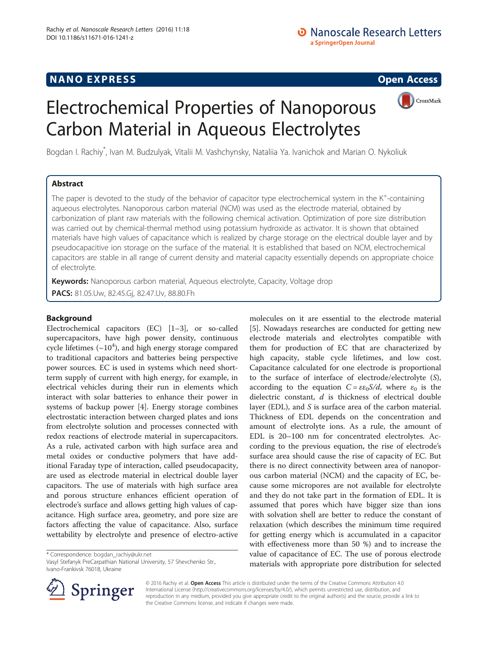## **NANO EXPRESS** Open Access and the set of the set of the set of the set of the set of the set of the set of the set of the set of the set of the set of the set of the set of the set of the set of the set of the set of the



# Electrochemical Properties of Nanoporous Carbon Material in Aqueous Electrolytes

Bogdan I. Rachiy\* , Ivan M. Budzulyak, Vitalii M. Vashchynsky, Nataliia Ya. Ivanichok and Marian O. Nykoliuk

## Abstract

The paper is devoted to the study of the behavior of capacitor type electrochemical system in the  $K^+$ -containing aqueous electrolytes. Nanoporous carbon material (NCM) was used as the electrode material, obtained by carbonization of plant raw materials with the following chemical activation. Optimization of pore size distribution was carried out by chemical-thermal method using potassium hydroxide as activator. It is shown that obtained materials have high values of capacitance which is realized by charge storage on the electrical double layer and by pseudocapacitive ion storage on the surface of the material. It is established that based on NCM, electrochemical capacitors are stable in all range of current density and material capacity essentially depends on appropriate choice of electrolyte.

Keywords: Nanoporous carbon material, Aqueous electrolyte, Capacity, Voltage drop PACS: 81.05.Uw, 82.45.Gj, 82.47.Uv, 88.80.Fh

## Background

Electrochemical capacitors (EC) [[1](#page-4-0)–[3](#page-4-0)], or so-called supercapacitors, have high power density, continuous cycle lifetimes ( $\sim$ 10<sup>4</sup>), and high energy storage compared to traditional capacitors and batteries being perspective power sources. EC is used in systems which need shortterm supply of current with high energy, for example, in electrical vehicles during their run in elements which interact with solar batteries to enhance their power in systems of backup power [\[4](#page-5-0)]. Energy storage combines electrostatic interaction between charged plates and ions from electrolyte solution and processes connected with redox reactions of electrode material in supercapacitors. As a rule, activated carbon with high surface area and metal oxides or conductive polymers that have additional Faraday type of interaction, called pseudocapacity, are used as electrode material in electrical double layer capacitors. The use of materials with high surface area and porous structure enhances efficient operation of electrode's surface and allows getting high values of capacitance. High surface area, geometry, and pore size are factors affecting the value of capacitance. Also, surface wettability by electrolyte and presence of electro-active

\* Correspondence: [bogdan\\_rachiy@ukr.net](mailto:bogdan_rachiy@ukr.net)

Vasyl Stefanyk PreCarpathian National University, 57 Shevchenko Str., Ivano-Frankivsk 76018, Ukraine



© 2016 Rachiy et al. Open Access This article is distributed under the terms of the Creative Commons Attribution 4.0 International License ([http://creativecommons.org/licenses/by/4.0/\)](http://creativecommons.org/licenses/by/4.0/), which permits unrestricted use, distribution, and reproduction in any medium, provided you give appropriate credit to the original author(s) and the source, provide a link to the Creative Commons license, and indicate if changes were made.

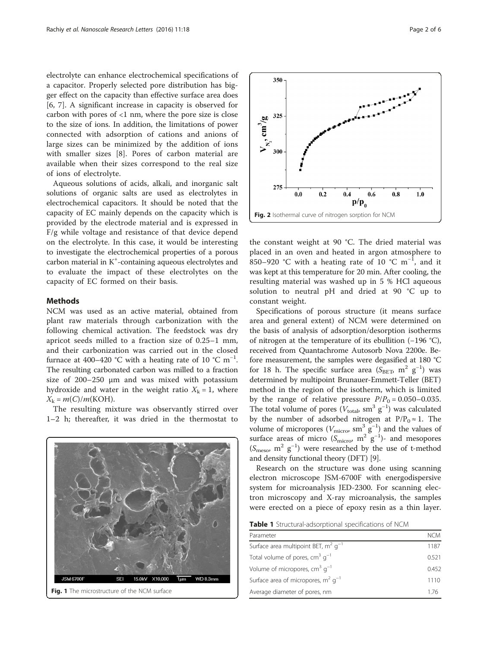<span id="page-1-0"></span>electrolyte can enhance electrochemical specifications of a capacitor. Properly selected pore distribution has bigger effect on the capacity than effective surface area does [[6, 7\]](#page-5-0). A significant increase in capacity is observed for carbon with pores of <1 nm, where the pore size is close to the size of ions. In addition, the limitations of power connected with adsorption of cations and anions of large sizes can be minimized by the addition of ions with smaller sizes [[8\]](#page-5-0). Pores of carbon material are available when their sizes correspond to the real size of ions of electrolyte.

Aqueous solutions of acids, alkali, and inorganic salt solutions of organic salts are used as electrolytes in electrochemical capacitors. It should be noted that the capacity of EC mainly depends on the capacity which is provided by the electrode material and is expressed in F/g while voltage and resistance of that device depend on the electrolyte. In this case, it would be interesting to investigate the electrochemical properties of a porous carbon material in K<sup>+</sup>-containing aqueous electrolytes and to evaluate the impact of these electrolytes on the capacity of EC formed on their basis.

### Methods

NCM was used as an active material, obtained from plant raw materials through carbonization with the following chemical activation. The feedstock was dry apricot seeds milled to a fraction size of 0.25–1 mm, and their carbonization was carried out in the closed furnace at 400–420 °C with a heating rate of 10 °C m<sup>-1</sup>. The resulting carbonated carbon was milled to a fraction size of 200–250 μm and was mixed with potassium hydroxide and water in the weight ratio  $X_k = 1$ , where  $X_k = m(C)/m(KOH)$ .

The resulting mixture was observantly stirred over 1–2 h; thereafter, it was dried in the thermostat to



350  $V_{N_2}$ , cm<sup>3</sup>/g 325 300  $27:$  $0.0$  $0.2$  $0.4$  $0.6$  $0.8$  $1.0$  $\bf{p}/\bf{p}_0$ Fig. 2 Isothermal curve of nitrogen sorption for NCM

the constant weight at 90 °С. The dried material was placed in an oven and heated in argon atmosphere to 850–920 °C with a heating rate of 10 °C m<sup>-1</sup>, and it was kept at this temperature for 20 min. After cooling, the resulting material was washed up in 5 % HCl aqueous solution to neutral pH and dried at 90 °С up to constant weight.

Specifications of porous structure (it means surface area and general extent) of NCM were determined on the basis of analysis of adsorption/desorption isotherms of nitrogen at the temperature of its ebullition (−196 °С), received from Quantachrome Autosorb Nova 2200e. Before measurement, the samples were degasified at 180 °С for 18 h. The specific surface area  $(S<sub>BET</sub>$  m<sup>2</sup> g<sup>-1</sup>) was determined by multipoint Brunauer-Emmett-Teller (BET) method in the region of the isotherm, which is limited by the range of relative pressure  $P/P_0 = 0.050 - 0.035$ . The total volume of pores ( $V_{total}$ , sm<sup>3</sup> g<sup>-1</sup>) was calculated by the number of adsorbed nitrogen at  $P/P_0 \approx 1$ . The volume of micropores ( $V_{micro}$ , sm<sup>3</sup> g<sup>-1</sup>) and the values of surface areas of micro ( $S<sub>micro</sub>$ , m<sup>2</sup> g<sup>-1</sup>)- and mesopores (Smeso, m2 g−<sup>1</sup> ) were researched by the use of t-method and density functional theory (DFT) [[9\]](#page-5-0).

Research on the structure was done using scanning electron microscope JSM-6700F with energodispersive system for microanalysis JED-2300. For scanning electron microscopy and X-ray microanalysis, the samples were erected on a piece of epoxy resin as a thin layer.

Table 1 Structural-adsorptional specifications of NCM

| Parameter                                   | NCM   |
|---------------------------------------------|-------|
| Surface area multipoint BET, $m^2$ $q^{-1}$ | 1187  |
| Total volume of pores, $cm3$ $q-1$          | 0.521 |
| Volume of micropores, $cm3$ $q-1$           | 0.452 |
| Surface area of micropores, $m^2$ $q^{-1}$  | 1110  |
| Average diameter of pores, nm               | 176   |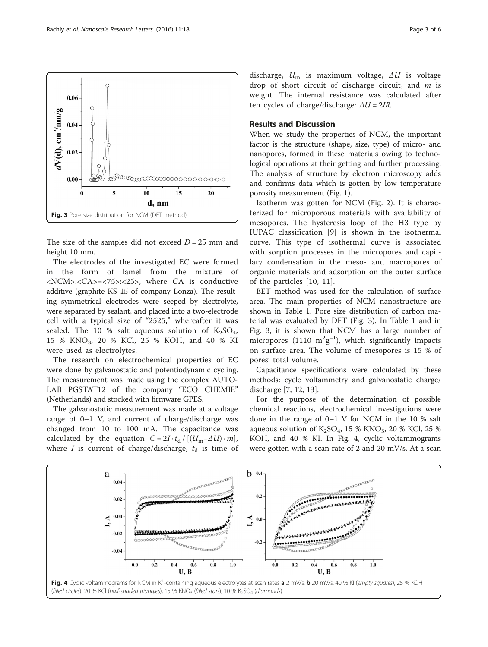



When we study the properties of NCM, the important factor is the structure (shape, size, type) of micro- and nanopores, formed in these materials owing to technological operations at their getting and further processing. The analysis of structure by electron microscopy adds and confirms data which is gotten by low temperature porosity measurement (Fig. [1\)](#page-1-0).

weight. The internal resistance was calculated after

ten cycles of charge/discharge:  $\Delta U = 2IR$ .

Isotherm was gotten for NCM (Fig. [2\)](#page-1-0). It is characterized for microporous materials with availability of mesopores. The hysteresis loop of the H3 type by IUPAC classification [[9\]](#page-5-0) is shown in the isothermal curve. This type of isothermal curve is associated with sorption processes in the micropores and capillary condensation in the meso- and macropores of organic materials and adsorption on the outer surface of the particles [[10](#page-5-0), [11](#page-5-0)].

BET method was used for the calculation of surface area. The main properties of NCM nanostructure are shown in Table [1](#page-1-0). Pore size distribution of carbon material was evaluated by DFT (Fig. 3). In Table [1](#page-1-0) and in Fig. 3, it is shown that NCM has a large number of micropores (1110  $m^2g^{-1}$ ), which significantly impacts on surface area. The volume of mesopores is 15 % of pores' total volume.

Capacitance specifications were calculated by these methods: cycle voltammetry and galvanostatic charge/ discharge [\[7](#page-5-0), [12](#page-5-0), [13\]](#page-5-0).

For the purpose of the determination of possible chemical reactions, electrochemical investigations were done in the range of 0–1 V for NCM in the 10 % salt aqueous solution of  $K_2SO_4$ , 15 %  $KNO_3$ , 20 % KCl, 25 % KOH, and 40 % KI. In Fig. 4, cyclic voltammograms were gotten with a scan rate of 2 and 20 mV/s. At a scan



<span id="page-2-0"></span>

The size of the samples did not exceed  $D = 25$  mm and height 10 mm.

The electrodes of the investigated EC were formed in the form of lamel from the mixture of <NCM>:<CA>=<75>:<25>, where CA is conductive additive (graphite KS-15 of company Lonza). The resulting symmetrical electrodes were seeped by electrolyte, were separated by sealant, and placed into a two-electrode cell with a typical size of "2525," whereafter it was sealed. The 10 % salt aqueous solution of  $K_2SO_4$ , 15 % KNO3, 20 % KCl, 25 % KOH, and 40 % KI were used as electrolytes.

The research on electrochemical properties of EC were done by galvanostatic and potentiodynamic cycling. The measurement was made using the complex AUTO-LAB PGSTAT12 of the company "ECO CHEMIE" (Netherlands) and stocked with firmware GPES.

The galvanostatic measurement was made at a voltage range of 0–1 V, and current of charge/discharge was changed from 10 to 100 mA. The capacitance was calculated by the equation  $C = 2I \cdot t_d / [(U_m - \Delta U) \cdot m]$ , where *I* is current of charge/discharge,  $t_d$  is time of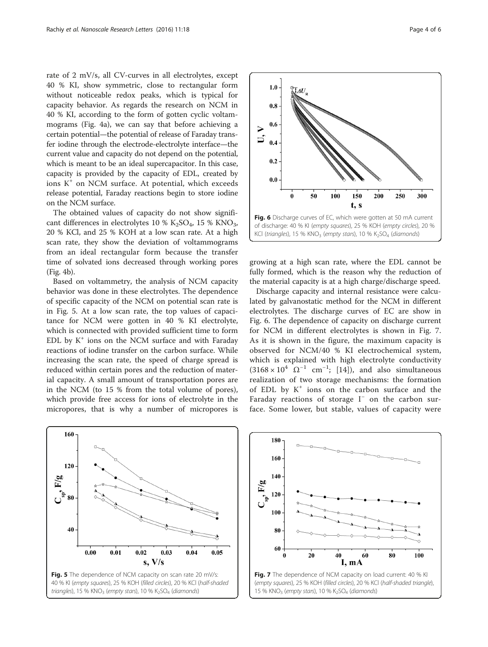<span id="page-3-0"></span>rate of 2 mV/s, all CV-curves in all electrolytes, except 40 % KI, show symmetric, close to rectangular form without noticeable redox peaks, which is typical for capacity behavior. As regards the research on NCM in 40 % KI, according to the form of gotten cyclic voltammograms (Fig. [4a\)](#page-2-0), we can say that before achieving a certain potential—the potential of release of Faraday transfer iodine through the electrode-electrolyte interface—the current value and capacity do not depend on the potential, which is meant to be an ideal supercapacitor. In this case, capacity is provided by the capacity of EDL, created by ions  $K^+$  on NCM surface. At potential, which exceeds release potential, Faraday reactions begin to store iodine on the NCM surface.

The obtained values of capacity do not show significant differences in electrolytes 10 %  $K_2SO_4$ , 15 %  $KNO_3$ , 20 % KCl, and 25 % KOH at a low scan rate. At a high scan rate, they show the deviation of voltammograms from an ideal rectangular form because the transfer time of solvated ions decreased through working pores (Fig. [4b](#page-2-0)).

Based on voltammetry, the analysis of NCM capacity behavior was done in these electrolytes. The dependence of specific capacity of the NCM on potential scan rate is in Fig. 5. At a low scan rate, the top values of capacitance for NCM were gotten in 40 % KI electrolyte, which is connected with provided sufficient time to form EDL by  $K^+$  ions on the NCM surface and with Faraday reactions of iodine transfer on the carbon surface. While increasing the scan rate, the speed of charge spread is reduced within certain pores and the reduction of material capacity. A small amount of transportation pores are in the NCM (to 15 % from the total volume of pores), which provide free access for ions of electrolyte in the micropores, that is why a number of micropores is



 $1.0$ 

 $0.8$ 

 $0.6$  $\triangleright$ 

 $0.4$ 

 $0.2$ 

 $0.0$ 

 $\overline{A U}^{}_{_{\rm R}}$ 

observed for NCM/40 % KI electrochemical system, which is explained with high electrolyte conductivity  $(3168 \times 10^{4} \ \Omega^{-1} \ cm^{-1};$  [[14\]](#page-5-0)), and also simultaneous realization of two storage mechanisms: the formation of EDL by  $K^+$  ions on the carbon surface and the Faraday reactions of storage I<sup>−</sup> on the carbon surface. Some lower, but stable, values of capacity were





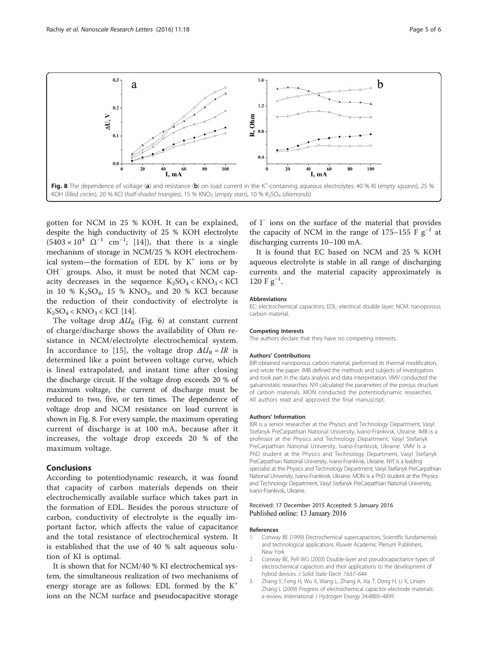<span id="page-4-0"></span>

gotten for NCM in 25 % KOH. It can be explained, despite the high conductivity of 25 % KOH electrolyte  $(5403 \times 10^{4} \ \Omega^{-1} \ cm^{-1}; [14])$  $(5403 \times 10^{4} \ \Omega^{-1} \ cm^{-1}; [14])$  $(5403 \times 10^{4} \ \Omega^{-1} \ cm^{-1}; [14])$ , that there is a single mechanism of storage in NCM/25 % KOH electrochemical system—the formation of EDL by  $K^+$  ions or by OH<sup>−</sup> groups. Also, it must be noted that NCM capacity decreases in the sequence  $K_2SO_4 < KNO_3 < KCl$ in 10 %  $K_2SO_4$ , 15 %  $KNO_3$ , and 20 % KCl because the reduction of their conductivity of electrolyte is  $K_2SO_4 < KNO_3 < KCl$  [\[14](#page-5-0)].

The voltage drop  $\Delta U_{\text{R}}$  (Fig. [6\)](#page-3-0) at constant current of charge/discharge shows the availability of Ohm resistance in NCM/electrolyte electrochemical system. In accordance to [[15\]](#page-5-0), the voltage drop  $\Delta U_R = IR$  is determined like a point between voltage curve, which is lineal extrapolated, and instant time after closing the discharge circuit. If the voltage drop exceeds 20 % of maximum voltage, the current of discharge must be reduced to two, five, or ten times. The dependence of voltage drop and NCM resistance on load current is shown in Fig. 8. For every sample, the maximum operating current of discharge is at 100 mA, because after it increases, the voltage drop exceeds 20 % of the maximum voltage.

## Conclusions

According to potentiodynamic research, it was found that capacity of carbon materials depends on their electrochemically available surface which takes part in the formation of EDL. Besides the porous structure of carbon, conductivity of electrolyte is the equally important factor, which affects the value of capacitance and the total resistance of electrochemical system. It is established that the use of 40 % salt aqueous solution of KI is optimal.

It is shown that for NCM/40 % KI electrochemical system, the simultaneous realization of two mechanisms of energy storage are as follows: EDL formed by the  $K^+$ ions on the NCM surface and pseudocapacitive storage

of I<sup>−</sup> ions on the surface of the material that provides the capacity of NCM in the range of 175–155 F  $g^{-1}$  at discharging currents 10–100 mA.

It is found that EC based on NCM and 25 % KOH aqueous electrolyte is stable in all range of discharging currents and the material capacity approximately is 120 F  $g^{-1}$ .

#### Abbreviations

EC: electrochemical capacitors; EDL: electrical double layer; NCM: nanoporous carbon material.

#### Competing Interests

The authors declare that they have no competing interests.

#### Authors' Contributions

BIR obtained nanoporous carbon material, performed its thermal modification, and wrote the paper. IMB defined the methods and subjects of investigation and took part in the data analysis and data interpretation. VMV conducted the galvanostatic researches. NYI calculated the parameters of the porous structure of carbon materials. MON conducted the potentiodynamic researches. All authors read and approved the final manuscript.

#### Authors' Information

BIR is a senior researcher at the Physics and Technology Department, Vasyl Stefanyk PreCarpathian National University, Ivano-Frankivsk, Ukraine. IMB is a professor at the Physics and Technology Department, Vasyl Stefanyk PreCarpathian National University, Ivano-Frankivsk, Ukraine. VMV is a PhD student at the Physics and Technology Department, Vasyl Stefanyk PreCarpathian National University, Ivano-Frankivsk, Ukraine. NYI is a leading specialist at the Physics and Technology Department, Vasyl Stefanyk PreCarpathian National University, Ivano-Frankivsk, Ukraine. MON is a PhD student at the Physics and Technology Department, Vasyl Stefanyk PreCarpathian National University, Ivano-Frankivsk, Ukraine.

#### Received: 17 December 2015 Accepted: 5 January 2016 Published online: 13 January 2016

#### References

- 1. Conway BE (1999) Electrochemical supercapacitors. Scientific fundamentals and technological applications. Kluwer Academic Plenum Publishers, New York
- 2. Conway BE, Pell WG (2003) Double-layer and pseudocapacitance types of electrochemical capacitors and their applications to the development of hybrid devices. J Solid State Electr 7:637–644
- 3. Zhang Y, Feng H, Wu X, Wang L, Zhang A, Xia T, Dong H, Li X, Linsen Zhang L (2009) Progress of electrochemical capacitor electrode materials: a review. International J Hydrogen Energy 34:4889–4899